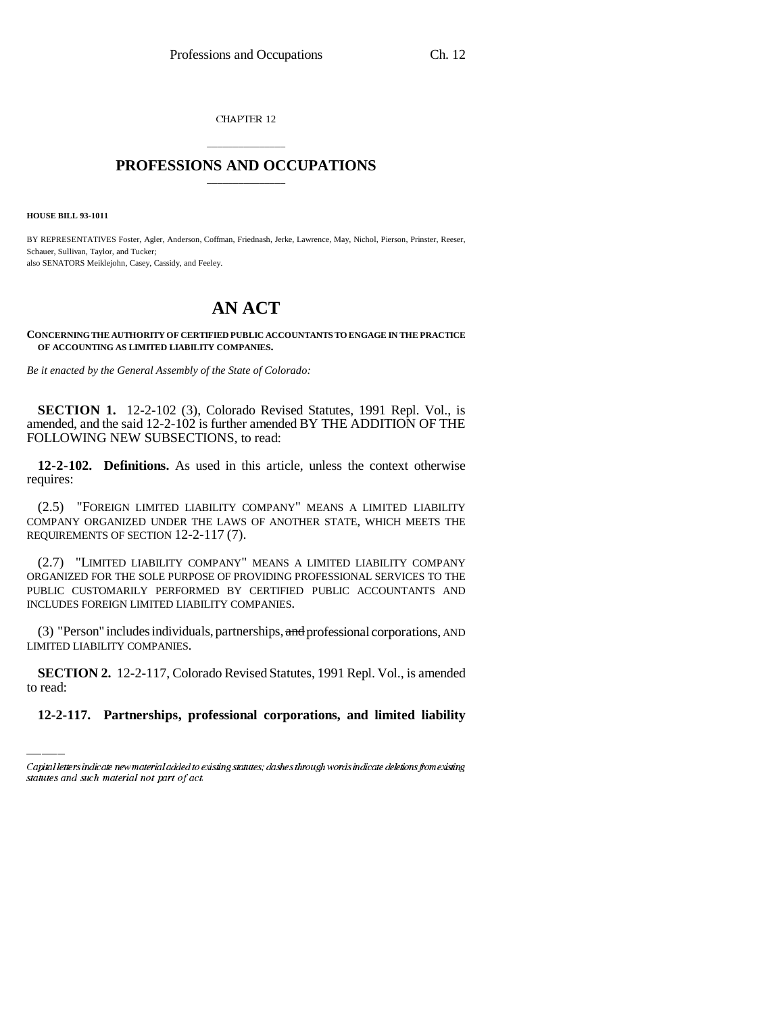CHAPTER 12

## \_\_\_\_\_\_\_\_\_\_\_\_\_\_\_ **PROFESSIONS AND OCCUPATIONS** \_\_\_\_\_\_\_\_\_\_\_\_\_\_\_

**HOUSE BILL 93-1011**

BY REPRESENTATIVES Foster, Agler, Anderson, Coffman, Friednash, Jerke, Lawrence, May, Nichol, Pierson, Prinster, Reeser, Schauer, Sullivan, Taylor, and Tucker; also SENATORS Meiklejohn, Casey, Cassidy, and Feeley.

# **AN ACT**

**CONCERNING THE AUTHORITY OF CERTIFIED PUBLIC ACCOUNTANTS TO ENGAGE IN THE PRACTICE OF ACCOUNTING AS LIMITED LIABILITY COMPANIES.**

*Be it enacted by the General Assembly of the State of Colorado:*

**SECTION 1.** 12-2-102 (3), Colorado Revised Statutes, 1991 Repl. Vol., is amended, and the said 12-2-102 is further amended BY THE ADDITION OF THE FOLLOWING NEW SUBSECTIONS, to read:

**12-2-102. Definitions.** As used in this article, unless the context otherwise requires:

(2.5) "FOREIGN LIMITED LIABILITY COMPANY" MEANS A LIMITED LIABILITY COMPANY ORGANIZED UNDER THE LAWS OF ANOTHER STATE, WHICH MEETS THE REQUIREMENTS OF SECTION 12-2-117 (7).

(2.7) "LIMITED LIABILITY COMPANY" MEANS A LIMITED LIABILITY COMPANY ORGANIZED FOR THE SOLE PURPOSE OF PROVIDING PROFESSIONAL SERVICES TO THE PUBLIC CUSTOMARILY PERFORMED BY CERTIFIED PUBLIC ACCOUNTANTS AND INCLUDES FOREIGN LIMITED LIABILITY COMPANIES.

(3) "Person" includes individuals, partnerships, and professional corporations, AND LIMITED LIABILITY COMPANIES.

**SECTION 2.** 12-2-117, Colorado Revised Statutes, 1991 Repl. Vol., is amended to read:

**12-2-117. Partnerships, professional corporations, and limited liability**

Capital letters indicate new material added to existing statutes; dashes through words indicate deletions from existing statutes and such material not part of act.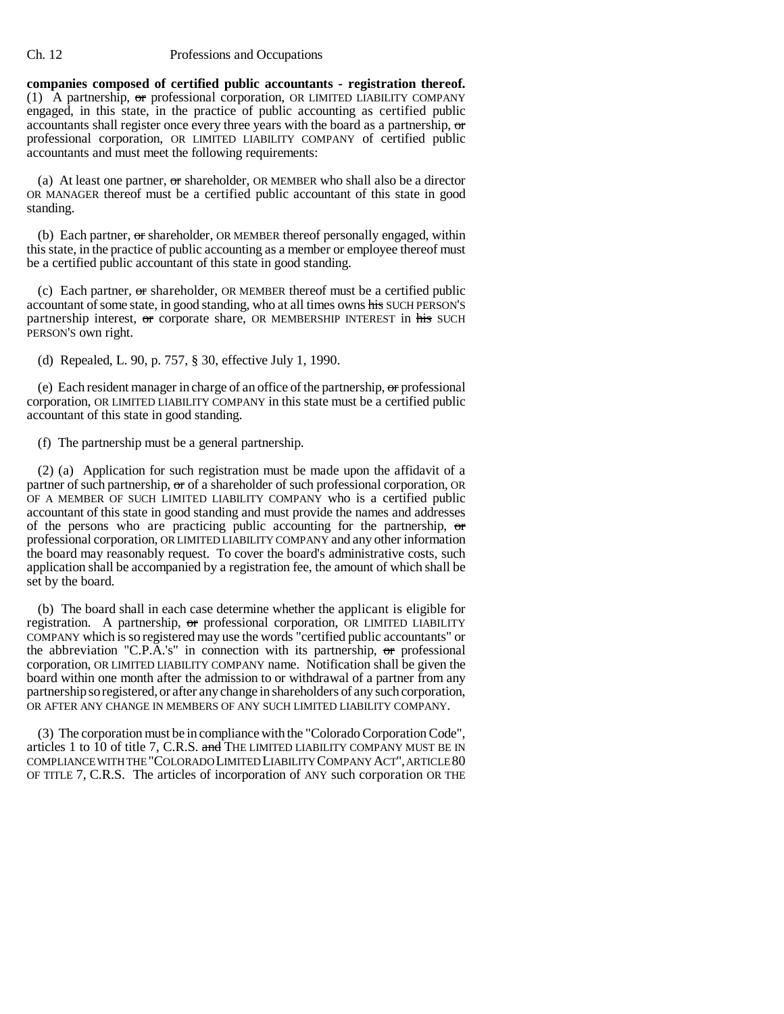#### Ch. 12 Professions and Occupations

**companies composed of certified public accountants - registration thereof.** (1) A partnership, or professional corporation, OR LIMITED LIABILITY COMPANY engaged, in this state, in the practice of public accounting as certified public accountants shall register once every three years with the board as a partnership, or professional corporation, OR LIMITED LIABILITY COMPANY of certified public accountants and must meet the following requirements:

(a) At least one partner,  $\sigma$ r shareholder, OR MEMBER who shall also be a director OR MANAGER thereof must be a certified public accountant of this state in good standing.

(b) Each partner, or shareholder, OR MEMBER thereof personally engaged, within this state, in the practice of public accounting as a member or employee thereof must be a certified public accountant of this state in good standing.

(c) Each partner, or shareholder, OR MEMBER thereof must be a certified public accountant of some state, in good standing, who at all times owns his SUCH PERSON'S partnership interest, or corporate share, OR MEMBERSHIP INTEREST in his SUCH PERSON'S own right.

(d) Repealed, L. 90, p. 757, § 30, effective July 1, 1990.

(e) Each resident manager in charge of an office of the partnership, or professional corporation, OR LIMITED LIABILITY COMPANY in this state must be a certified public accountant of this state in good standing.

(f) The partnership must be a general partnership.

(2) (a) Application for such registration must be made upon the affidavit of a partner of such partnership, or of a shareholder of such professional corporation, OR OF A MEMBER OF SUCH LIMITED LIABILITY COMPANY who is a certified public accountant of this state in good standing and must provide the names and addresses of the persons who are practicing public accounting for the partnership,  $\sigma$ professional corporation, OR LIMITED LIABILITY COMPANY and any other information the board may reasonably request. To cover the board's administrative costs, such application shall be accompanied by a registration fee, the amount of which shall be set by the board.

(b) The board shall in each case determine whether the applicant is eligible for registration. A partnership, or professional corporation, OR LIMITED LIABILITY COMPANY which is so registered may use the words "certified public accountants" or the abbreviation "C.P.A.'s" in connection with its partnership,  $\sigma$ r professional corporation, OR LIMITED LIABILITY COMPANY name. Notification shall be given the board within one month after the admission to or withdrawal of a partner from any partnership so registered, or after any change in shareholders of any such corporation, OR AFTER ANY CHANGE IN MEMBERS OF ANY SUCH LIMITED LIABILITY COMPANY.

(3) The corporation must be in compliance with the "Colorado Corporation Code", articles 1 to  $10$  of title 7, C.R.S. and THE LIMITED LIABILITY COMPANY MUST BE IN COMPLIANCE WITH THE "COLORADO LIMITED LIABILITY COMPANY ACT", ARTICLE 80 OF TITLE 7, C.R.S. The articles of incorporation of ANY such corporation OR THE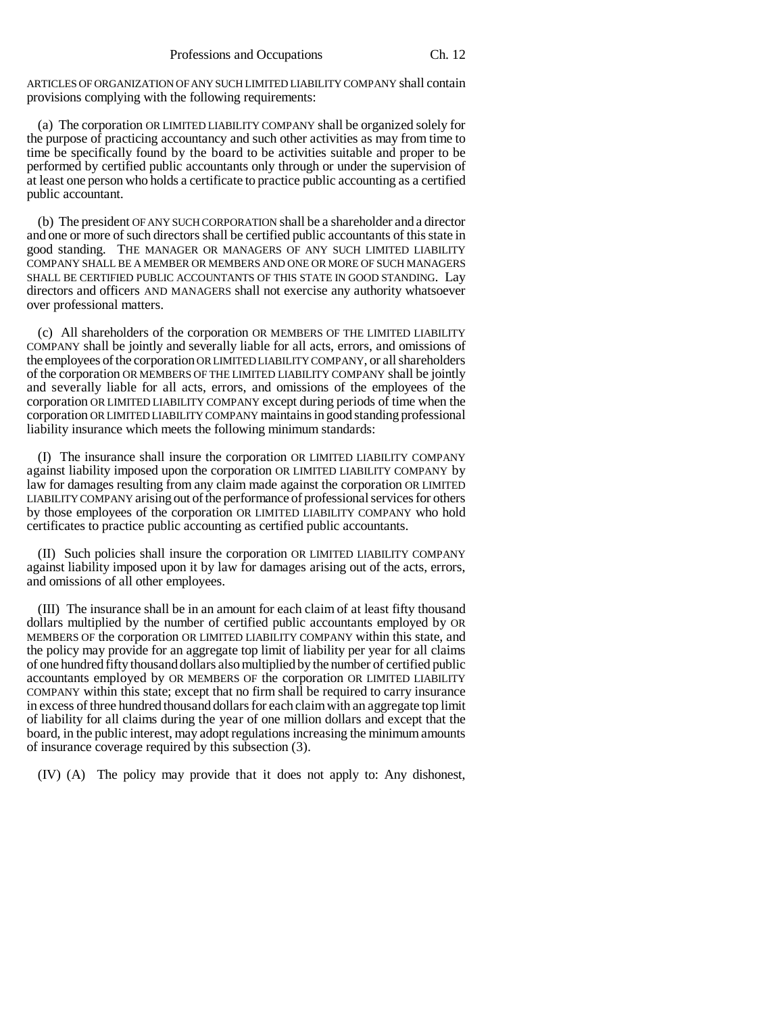ARTICLES OF ORGANIZATION OF ANY SUCH LIMITED LIABILITY COMPANY shall contain provisions complying with the following requirements:

(a) The corporation OR LIMITED LIABILITY COMPANY shall be organized solely for the purpose of practicing accountancy and such other activities as may from time to time be specifically found by the board to be activities suitable and proper to be performed by certified public accountants only through or under the supervision of at least one person who holds a certificate to practice public accounting as a certified public accountant.

(b) The president OF ANY SUCH CORPORATION shall be a shareholder and a director and one or more of such directors shall be certified public accountants of this state in good standing. THE MANAGER OR MANAGERS OF ANY SUCH LIMITED LIABILITY COMPANY SHALL BE A MEMBER OR MEMBERS AND ONE OR MORE OF SUCH MANAGERS SHALL BE CERTIFIED PUBLIC ACCOUNTANTS OF THIS STATE IN GOOD STANDING. Lay directors and officers AND MANAGERS shall not exercise any authority whatsoever over professional matters.

(c) All shareholders of the corporation OR MEMBERS OF THE LIMITED LIABILITY COMPANY shall be jointly and severally liable for all acts, errors, and omissions of the employees of the corporation OR LIMITED LIABILITY COMPANY, or all shareholders of the corporation OR MEMBERS OF THE LIMITED LIABILITY COMPANY shall be jointly and severally liable for all acts, errors, and omissions of the employees of the corporation OR LIMITED LIABILITY COMPANY except during periods of time when the corporation OR LIMITED LIABILITY COMPANY maintains in good standing professional liability insurance which meets the following minimum standards:

(I) The insurance shall insure the corporation OR LIMITED LIABILITY COMPANY against liability imposed upon the corporation OR LIMITED LIABILITY COMPANY by law for damages resulting from any claim made against the corporation OR LIMITED LIABILITY COMPANY arising out of the performance of professional services for others by those employees of the corporation OR LIMITED LIABILITY COMPANY who hold certificates to practice public accounting as certified public accountants.

(II) Such policies shall insure the corporation OR LIMITED LIABILITY COMPANY against liability imposed upon it by law for damages arising out of the acts, errors, and omissions of all other employees.

(III) The insurance shall be in an amount for each claim of at least fifty thousand dollars multiplied by the number of certified public accountants employed by OR MEMBERS OF the corporation OR LIMITED LIABILITY COMPANY within this state, and the policy may provide for an aggregate top limit of liability per year for all claims of one hundred fifty thousand dollars also multiplied by the number of certified public accountants employed by OR MEMBERS OF the corporation OR LIMITED LIABILITY COMPANY within this state; except that no firm shall be required to carry insurance in excess of three hundred thousand dollars for each claim with an aggregate top limit of liability for all claims during the year of one million dollars and except that the board, in the public interest, may adopt regulations increasing the minimum amounts of insurance coverage required by this subsection (3).

(IV) (A) The policy may provide that it does not apply to: Any dishonest,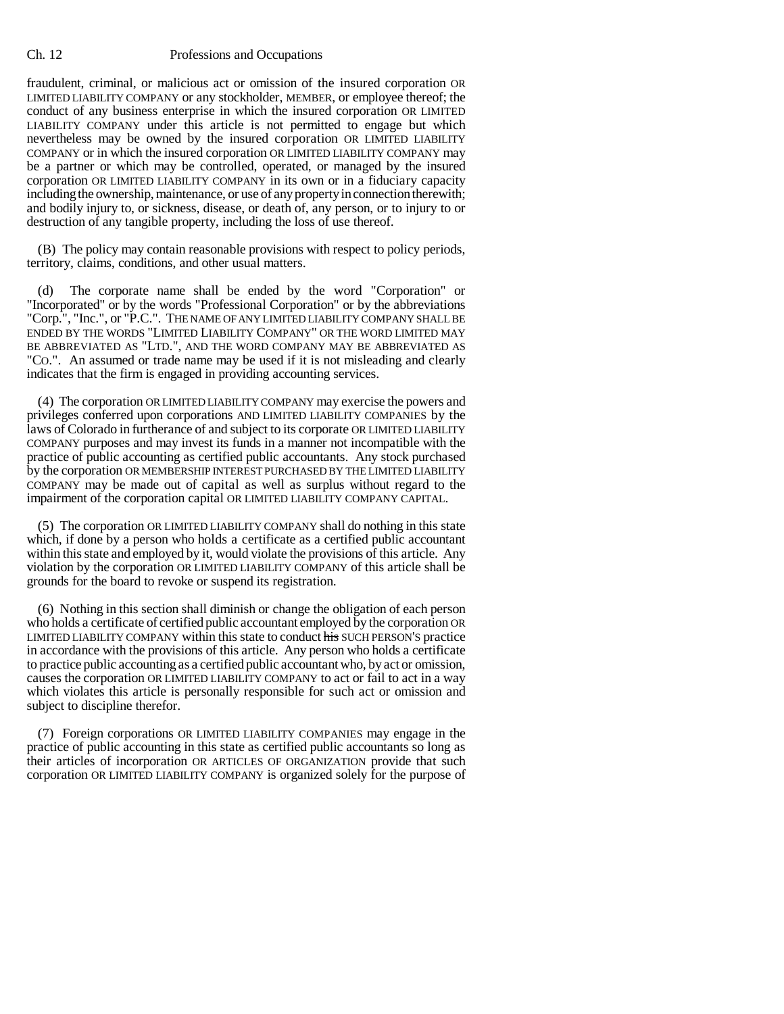### Ch. 12 Professions and Occupations

fraudulent, criminal, or malicious act or omission of the insured corporation OR LIMITED LIABILITY COMPANY or any stockholder, MEMBER, or employee thereof; the conduct of any business enterprise in which the insured corporation OR LIMITED LIABILITY COMPANY under this article is not permitted to engage but which nevertheless may be owned by the insured corporation OR LIMITED LIABILITY COMPANY or in which the insured corporation OR LIMITED LIABILITY COMPANY may be a partner or which may be controlled, operated, or managed by the insured corporation OR LIMITED LIABILITY COMPANY in its own or in a fiduciary capacity including the ownership, maintenance, or use of any property in connection therewith; and bodily injury to, or sickness, disease, or death of, any person, or to injury to or destruction of any tangible property, including the loss of use thereof.

(B) The policy may contain reasonable provisions with respect to policy periods, territory, claims, conditions, and other usual matters.

(d) The corporate name shall be ended by the word "Corporation" or "Incorporated" or by the words "Professional Corporation" or by the abbreviations "Corp.", "Inc.", or "P.C.". THE NAME OF ANY LIMITED LIABILITY COMPANY SHALL BE ENDED BY THE WORDS "LIMITED LIABILITY COMPANY" OR THE WORD LIMITED MAY BE ABBREVIATED AS "LTD.", AND THE WORD COMPANY MAY BE ABBREVIATED AS "CO.". An assumed or trade name may be used if it is not misleading and clearly indicates that the firm is engaged in providing accounting services.

(4) The corporation OR LIMITED LIABILITY COMPANY may exercise the powers and privileges conferred upon corporations AND LIMITED LIABILITY COMPANIES by the laws of Colorado in furtherance of and subject to its corporate OR LIMITED LIABILITY COMPANY purposes and may invest its funds in a manner not incompatible with the practice of public accounting as certified public accountants. Any stock purchased by the corporation OR MEMBERSHIP INTEREST PURCHASED BY THE LIMITED LIABILITY COMPANY may be made out of capital as well as surplus without regard to the impairment of the corporation capital OR LIMITED LIABILITY COMPANY CAPITAL.

(5) The corporation OR LIMITED LIABILITY COMPANY shall do nothing in this state which, if done by a person who holds a certificate as a certified public accountant within this state and employed by it, would violate the provisions of this article. Any violation by the corporation OR LIMITED LIABILITY COMPANY of this article shall be grounds for the board to revoke or suspend its registration.

(6) Nothing in this section shall diminish or change the obligation of each person who holds a certificate of certified public accountant employed by the corporation OR LIMITED LIABILITY COMPANY within this state to conduct his SUCH PERSON'S practice in accordance with the provisions of this article. Any person who holds a certificate to practice public accounting as a certified public accountant who, by act or omission, causes the corporation OR LIMITED LIABILITY COMPANY to act or fail to act in a way which violates this article is personally responsible for such act or omission and subject to discipline therefor.

(7) Foreign corporations OR LIMITED LIABILITY COMPANIES may engage in the practice of public accounting in this state as certified public accountants so long as their articles of incorporation OR ARTICLES OF ORGANIZATION provide that such corporation OR LIMITED LIABILITY COMPANY is organized solely for the purpose of